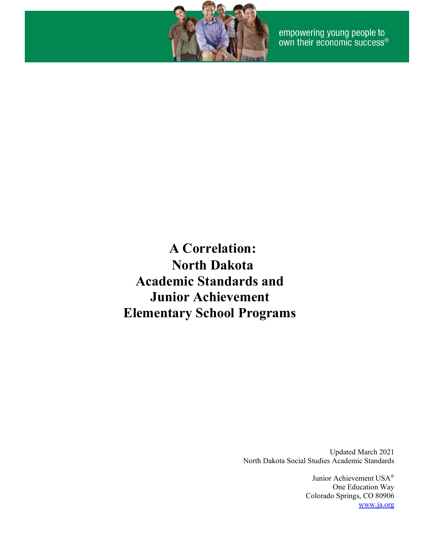

empowering young people to<br>own their economic success®

**A Correlation: North Dakota Academic Standards and Junior Achievement Elementary School Programs**

> Updated March 2021 North Dakota Social Studies Academic Standards

> > Junior Achievement USA® One Education Way Colorado Springs, CO 80906 [www.ja.org](http://www.ja.org/)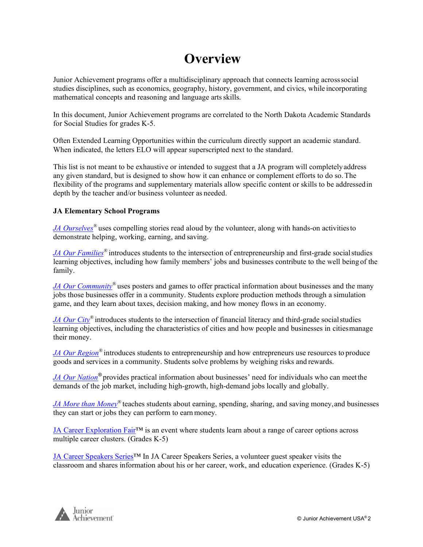#### **Overview**

Junior Achievement programs offer a multidisciplinary approach that connects learning acrosssocial studies disciplines, such as economics, geography, history, government, and civics, while incorporating mathematical concepts and reasoning and language artsskills.

In this document, Junior Achievement programs are correlated to the North Dakota Academic Standards for Social Studies for grades K-5.

Often Extended Learning Opportunities within the curriculum directly support an academic standard. When indicated, the letters ELO will appear superscripted next to the standard.

This list is not meant to be exhaustive or intended to suggest that a JA program will completelyaddress any given standard, but is designed to show how it can enhance or complement efforts to do so.The flexibility of the programs and supplementary materials allow specific content or skills to be addressedin depth by the teacher and/or business volunteer as needed.

#### **JA Elementary School Programs**

*JA Ourselves*<sup>®</sup> uses compelling stories read aloud by the volunteer, along with hands-on activities to demonstrate helping, working, earning, and saving.

*JA Our Families<sup>®</sup>* introduces students to the intersection of entrepreneurship and first-grade social studies learning objectives, including how family members' jobs and businesses contribute to the well being of the family.

*JA Our Community*<sup>®</sup> uses posters and games to offer practical information about businesses and the many jobs those businesses offer in a community. Students explore production methods through a simulation game, and they learn about taxes, decision making, and how money flows in an economy.

*JA Our City®* introduces students to the intersection of financial literacy and third-grade social studies learning objectives, including the characteristics of cities and how people and businesses in citiesmanage their money.

*[JA Our Region](#page-10-0)®* introduces students to entrepreneurship and how entrepreneurs use resources to produce goods and services in a community. Students solve problems by weighing risks and rewards.

*JA Our Nation®* provides practical information about businesses' need for individuals who can meetthe demands of the job market, including high-growth, high-demand jobs locally and globally.

*JA More than Money*<sup>®</sup> teaches students about earning, spending, sharing, and saving money, and businesses they can start or jobs they can perform to earnmoney.

JA Career Exploration Fair™ is an event where students learn about a range of career options across multiple career clusters. (Grades K-5)

JA Career Speakers Series™ In JA Career Speakers Series, a volunteer guest speaker visits the classroom and shares information about his or her career, work, and education experience. (Grades K-5)

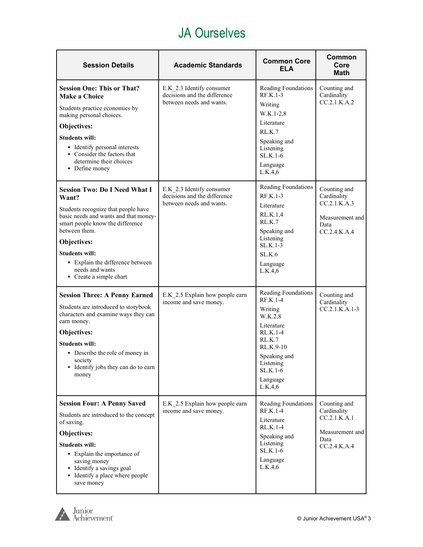#### JA Ourselves

<span id="page-2-0"></span>

| <b>Session Details</b>                                                                                                                                                                                                                                                                                       | <b>Academic Standards</b>                                                             | <b>Common Core</b><br><b>ELA</b>                                                                                                                                       | Common<br>Core<br><b>Math</b>                                                          |
|--------------------------------------------------------------------------------------------------------------------------------------------------------------------------------------------------------------------------------------------------------------------------------------------------------------|---------------------------------------------------------------------------------------|------------------------------------------------------------------------------------------------------------------------------------------------------------------------|----------------------------------------------------------------------------------------|
| <b>Session One: This or That?</b><br><b>Make a Choice</b><br>Students practice economics by<br>making personal choices.<br>Objectives:<br><b>Students will:</b><br>• Identify personal interests<br>• Consider the factors that<br>determine their choices<br>• Define money                                 | E.K 2.3 Identify consumer<br>decisions and the difference<br>between needs and wants. | Reading Foundations<br>RF.K.1-3<br>Writing<br>$W.K.1-2,8$<br>Literature<br>RLK.7<br>Speaking and<br>Listening<br>$SL.K.1-6$<br>Language<br>L.K.4,6                     | Counting and<br>Cardinality<br>CC.2.1.K.A.2                                            |
| <b>Session Two: Do I Need What I</b><br>Want?<br>Students recognize that people have<br>basic needs and wants and that money-<br>smart people know the difference<br>between them.<br>Objectives:<br><b>Students will:</b><br>· Explain the difference between<br>needs and wants<br>• Create a simple chart | E.K 2.3 Identify consumer<br>decisions and the difference<br>between needs and wants. | Reading Foundations<br>RF.K.1-3<br>Literature<br>RL.K.1,4<br>RL.K.7<br>Speaking and<br>Listening<br>SL.K.1-3<br>SL.K.6<br>Language<br>L.K.4,6                          | Counting and<br>Cardinality<br>CC.2.1.K.A.3<br>Measurement and<br>Data<br>CC.2.4.K.A.4 |
| <b>Session Three: A Penny Earned</b><br>Students are introduced to storybook<br>characters and examine ways they can<br>earn money.<br>Objectives:<br><b>Students will:</b><br>• Describe the role of money in<br>society<br>• Identify jobs they can do to earn<br>money                                    | E.K 2.5 Explain how people earn<br>income and save money.                             | Reading Foundations<br>RF.K.1-4<br>Writing<br>W.K.2,8<br>Literature<br>RL.K.1-4<br>RL.K.7<br>RL.K.9-10<br>Speaking and<br>Listening<br>SL.K.1-6<br>Language<br>L.K.4,6 | Counting and<br>Cardinality<br>CC.2.1.K.A.1-3                                          |
| <b>Session Four: A Penny Saved</b><br>Students are introduced to the concept<br>of saving.<br>Objectives:<br><b>Students will:</b><br>• Explain the importance of<br>saving money<br>• Identify a savings goal<br>• Identify a place where people<br>save money                                              | E.K 2.5 Explain how people earn<br>income and save money.                             | Reading Foundations<br>RF.K.1-4<br>Literature<br>RL.K.1-4<br>Speaking and<br>Listening<br>SL.K.1-6<br>Language<br>L.K.4,6                                              | Counting and<br>Cardinality<br>CC.2.1.K.A.1<br>Measurement and<br>Data<br>CC.2.4.K.A.4 |

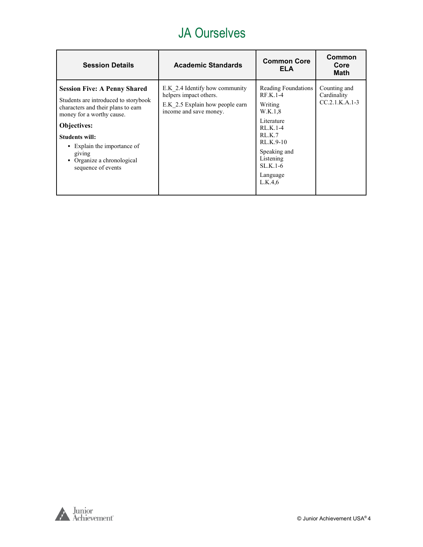#### JA Ourselves

| <b>Session Details</b>                                                                                                                                                                                                                                                                   | <b>Academic Standards</b>                                                                                             | <b>Common Core</b><br>ELA                                                                                                                                                 | Common<br>Core<br><b>Math</b>                   |
|------------------------------------------------------------------------------------------------------------------------------------------------------------------------------------------------------------------------------------------------------------------------------------------|-----------------------------------------------------------------------------------------------------------------------|---------------------------------------------------------------------------------------------------------------------------------------------------------------------------|-------------------------------------------------|
| <b>Session Five: A Penny Shared</b><br>Students are introduced to storybook<br>characters and their plans to earn<br>money for a worthy cause.<br><b>Objectives:</b><br><b>Students will:</b><br>• Explain the importance of<br>giving<br>Organize a chronological<br>sequence of events | E.K 2.4 Identify how community<br>helpers impact others.<br>E.K 2.5 Explain how people earn<br>income and save money. | Reading Foundations<br>$RF.K.1-4$<br>Writing<br>W.K.1,8<br>Literature<br>$RLK.1-4$<br>RLK.7<br>RL.K.9-10<br>Speaking and<br>Listening<br>$SLK.1-6$<br>Language<br>L.K.4,6 | Counting and<br>Cardinality<br>$CC.2.1.K.A.1-3$ |

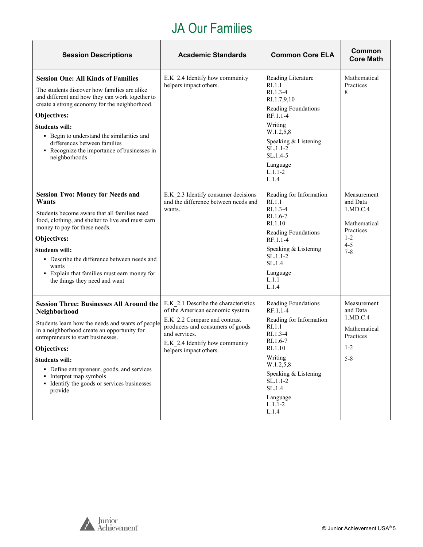#### JA Our Families

 $\overline{\phantom{a}}$ 

<span id="page-4-0"></span>

| <b>Session Descriptions</b>                                                                                                                                                                                                                                                                                                                                                         | <b>Academic Standards</b>                                                                                                                                                                                                 | <b>Common Core ELA</b>                                                                                                                                                                                            | Common<br><b>Core Math</b>                                                                        |
|-------------------------------------------------------------------------------------------------------------------------------------------------------------------------------------------------------------------------------------------------------------------------------------------------------------------------------------------------------------------------------------|---------------------------------------------------------------------------------------------------------------------------------------------------------------------------------------------------------------------------|-------------------------------------------------------------------------------------------------------------------------------------------------------------------------------------------------------------------|---------------------------------------------------------------------------------------------------|
| <b>Session One: All Kinds of Families</b><br>The students discover how families are alike<br>and different and how they can work together to<br>create a strong economy for the neighborhood.<br>Objectives:<br><b>Students will:</b><br>• Begin to understand the similarities and<br>differences between families<br>• Recognize the importance of businesses in<br>neighborhoods | E.K 2.4 Identify how community<br>helpers impact others.                                                                                                                                                                  | Reading Literature<br>RI.1.1<br>$RI.1.3-4$<br>RI.1.7,9,10<br>Reading Foundations<br>RF.1.1-4<br>Writing<br>W.1.2,5,8<br>Speaking & Listening<br>$SL.1.1-2$<br>$SL.1.4-5$<br>Language<br>$L.1.1 - 2$<br>L.1.4      | Mathematical<br>Practices<br>8                                                                    |
| <b>Session Two: Money for Needs and</b><br>Wants<br>Students become aware that all families need<br>food, clothing, and shelter to live and must earn<br>money to pay for these needs.<br>Objectives:<br><b>Students will:</b><br>• Describe the difference between needs and<br>wants<br>• Explain that families must earn money for<br>the things they need and want              | E.K 2.3 Identify consumer decisions<br>and the difference between needs and<br>wants.                                                                                                                                     | Reading for Information<br>RI.1.1<br>$RI.1.3-4$<br>RI.1.6-7<br>RI.1.10<br>Reading Foundations<br>RF.1.1-4<br>Speaking & Listening<br>$SL.1.1-2$<br>SL.1.4<br>Language<br>L.1.1<br>L.1.4                           | Measurement<br>and Data<br>1.MD.C.4<br>Mathematical<br>Practices<br>$1 - 2$<br>$4 - 5$<br>$7 - 8$ |
| <b>Session Three: Businesses All Around the</b><br>Neighborhood<br>Students learn how the needs and wants of people<br>in a neighborhood create an opportunity for<br>entrepreneurs to start businesses.<br>Objectives:<br><b>Students will:</b><br>• Define entrepreneur, goods, and services<br>• Interpret map symbols<br>• Identify the goods or services businesses<br>provide | E.K 2.1 Describe the characteristics<br>of the American economic system.<br>E.K 2.2 Compare and contrast<br>producers and consumers of goods<br>and services.<br>E.K 2.4 Identify how community<br>helpers impact others. | Reading Foundations<br>RF.1.1-4<br>Reading for Information<br>RI.1.1<br>RI.1.3-4<br>RI.1.6-7<br>RI.1.10<br>Writing<br>W.1.2,5,8<br>Speaking & Listening<br>$SL.1.1-2$<br>SL.1.4<br>Language<br>$L.1.1-2$<br>L.1.4 | Measurement<br>and Data<br>1.MD.C.4<br>Mathematical<br>Practices<br>$1 - 2$<br>$5 - 8$            |

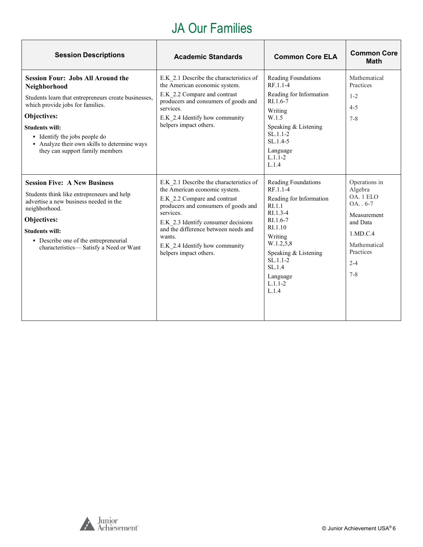### JA Our Families

| <b>Session Descriptions</b>                                                                                                                                                                                                                                                                                             | <b>Academic Standards</b>                                                                                                                                                                                                                                                                                          | <b>Common Core ELA</b>                                                                                                                                                                                                | <b>Common Core</b><br><b>Math</b>                                                                                                              |
|-------------------------------------------------------------------------------------------------------------------------------------------------------------------------------------------------------------------------------------------------------------------------------------------------------------------------|--------------------------------------------------------------------------------------------------------------------------------------------------------------------------------------------------------------------------------------------------------------------------------------------------------------------|-----------------------------------------------------------------------------------------------------------------------------------------------------------------------------------------------------------------------|------------------------------------------------------------------------------------------------------------------------------------------------|
| <b>Session Four: Jobs All Around the</b><br>Neighborhood<br>Students learn that entrepreneurs create businesses,<br>which provide jobs for families.<br><b>Objectives:</b><br><b>Students will:</b><br>• Identify the jobs people do<br>• Analyze their own skills to determine ways<br>they can support family members | E.K 2.1 Describe the characteristics of<br>the American economic system.<br>E.K 2.2 Compare and contrast<br>producers and consumers of goods and<br>services.<br>E.K 2.4 Identify how community<br>helpers impact others.                                                                                          | Reading Foundations<br>RF.1.1-4<br>Reading for Information<br>RI.1.6-7<br>Writing<br>W.1.5<br>Speaking & Listening<br>$SL.1.1-2$<br>$SL.1.4-5$<br>Language<br>$L.1.1 - 2$<br>L.1.4                                    | Mathematical<br>Practices<br>$1 - 2$<br>$4 - 5$<br>$7 - 8$                                                                                     |
| <b>Session Five: A New Business</b><br>Students think like entrepreneurs and help<br>advertise a new business needed in the<br>neighborhood.<br>Objectives:<br><b>Students will:</b><br>• Describe one of the entrepreneurial<br>characteristics-Satisfy a Need or Want                                                 | E.K 2.1 Describe the characteristics of<br>the American economic system.<br>E.K 2.2 Compare and contrast<br>producers and consumers of goods and<br>services.<br>E.K 2.3 Identify consumer decisions<br>and the difference between needs and<br>wants.<br>E.K 2.4 Identify how community<br>helpers impact others. | Reading Foundations<br>RF.1.1-4<br>Reading for Information<br>RI.1.1<br>$R1.3-4$<br>$RI.1.6-7$<br>RI.1.10<br>Writing<br>W.1.2,5,8<br>Speaking & Listening<br>$SL.1.1-2$<br>SL.1.4<br>Language<br>$L.1.1 - 2$<br>L.1.4 | Operations in<br>Algebra<br>OA. 1 ELO<br>$OA. . 6-7$<br>Measurement<br>and Data<br>1.MD.C.4<br>Mathematical<br>Practices<br>$2 - 4$<br>$7 - 8$ |

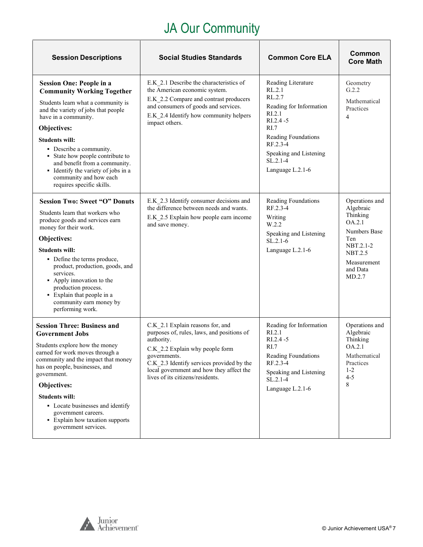## JA Our Community

<span id="page-6-0"></span>

| <b>Session Descriptions</b>                                                                                                                                                                                                                                                                                                                                                                                     | <b>Social Studies Standards</b>                                                                                                                                                                                                                                              | <b>Common Core ELA</b>                                                                                                                                                                             | Common<br><b>Core Math</b>                                                                                                                   |
|-----------------------------------------------------------------------------------------------------------------------------------------------------------------------------------------------------------------------------------------------------------------------------------------------------------------------------------------------------------------------------------------------------------------|------------------------------------------------------------------------------------------------------------------------------------------------------------------------------------------------------------------------------------------------------------------------------|----------------------------------------------------------------------------------------------------------------------------------------------------------------------------------------------------|----------------------------------------------------------------------------------------------------------------------------------------------|
| <b>Session One: People in a</b><br><b>Community Working Together</b><br>Students learn what a community is<br>and the variety of jobs that people<br>have in a community.<br>Objectives:<br><b>Students will:</b><br>• Describe a community.<br>• State how people contribute to<br>and benefit from a community.<br>• Identify the variety of jobs in a<br>community and how each<br>requires specific skills. | E.K 2.1 Describe the characteristics of<br>the American economic system.<br>E.K 2.2 Compare and contrast producers<br>and consumers of goods and services.<br>E.K 2.4 Identify how community helpers<br>impact others.                                                       | Reading Literature<br>RL.2.1<br>RL.2.7<br>Reading for Information<br>RI.2.1<br>$RI.2.4 - 5$<br>RI.7<br>Reading Foundations<br>RF.2.3-4<br>Speaking and Listening<br>$SL.2.1-4$<br>Language L.2.1-6 | Geometry<br>G.2.2<br>Mathematical<br>Practices<br>4                                                                                          |
| <b>Session Two: Sweet "O" Donuts</b><br>Students learn that workers who<br>produce goods and services earn<br>money for their work.<br>Objectives:<br><b>Students will:</b><br>• Define the terms produce,<br>product, production, goods, and<br>services.<br>• Apply innovation to the<br>production process.<br>• Explain that people in a<br>community earn money by<br>performing work.                     | E.K 2.3 Identify consumer decisions and<br>the difference between needs and wants.<br>E.K_2.5 Explain how people earn income<br>and save money.                                                                                                                              | Reading Foundations<br>RF.2.3-4<br>Writing<br>W.2.2<br>Speaking and Listening<br>$SL.2.1-6$<br>Language L.2.1-6                                                                                    | Operations and<br>Algebraic<br>Thinking<br>OA.2.1<br>Numbers Base<br>Ten<br>NBT.2.1-2<br><b>NBT.2.5</b><br>Measurement<br>and Data<br>MD.2.7 |
| <b>Session Three: Business and</b><br><b>Government Jobs</b><br>Students explore how the money<br>earned for work moves through a<br>community and the impact that money<br>has on people, businesses, and<br>government.<br>Objectives:<br><b>Students will:</b><br>• Locate businesses and identify<br>government careers.<br>• Explain how taxation supports<br>government services.                         | C.K 2.1 Explain reasons for, and<br>purposes of, rules, laws, and positions of<br>authority.<br>C.K 2.2 Explain why people form<br>governments.<br>C.K 2.3 Identify services provided by the<br>local government and how they affect the<br>lives of its citizens/residents. | Reading for Information<br>R <sub>I.2.1</sub><br>$RI.2.4 - 5$<br>RI.7<br>Reading Foundations<br>RF.2.3-4<br>Speaking and Listening<br>$SL.2.1-4$<br>Language L.2.1-6                               | Operations and<br>Algebraic<br>Thinking<br>OA.2.1<br>Mathematical<br>Practices<br>$1 - 2$<br>$4 - 5$<br>8                                    |

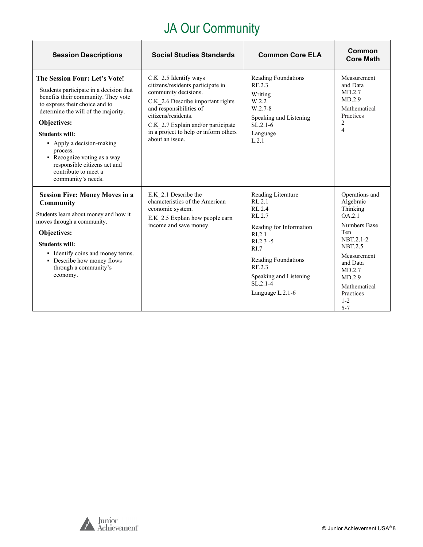# JA Our Community

| <b>Session Descriptions</b>                                                                                                                                                                                                                                                                                                                                                            | <b>Social Studies Standards</b>                                                                                                                                                                                                                                             | <b>Common Core ELA</b>                                                                                                                                                                                               | Common<br><b>Core Math</b>                                                                                                                                                                                       |
|----------------------------------------------------------------------------------------------------------------------------------------------------------------------------------------------------------------------------------------------------------------------------------------------------------------------------------------------------------------------------------------|-----------------------------------------------------------------------------------------------------------------------------------------------------------------------------------------------------------------------------------------------------------------------------|----------------------------------------------------------------------------------------------------------------------------------------------------------------------------------------------------------------------|------------------------------------------------------------------------------------------------------------------------------------------------------------------------------------------------------------------|
| The Session Four: Let's Vote!<br>Students participate in a decision that<br>benefits their community. They vote<br>to express their choice and to<br>determine the will of the majority.<br>Objectives:<br><b>Students will:</b><br>• Apply a decision-making<br>process.<br>• Recognize voting as a way<br>responsible citizens act and<br>contribute to meet a<br>community's needs. | C.K 2.5 Identify ways<br>citizens/residents participate in<br>community decisions.<br>C.K 2.6 Describe important rights<br>and responsibilities of<br>citizens/residents.<br>C.K_2.7 Explain and/or participate<br>in a project to help or inform others<br>about an issue. | Reading Foundations<br>RF.2.3<br>Writing<br>W.2.2<br>$W.2.7-8$<br>Speaking and Listening<br>$SL.2.1-6$<br>Language<br>L.2.1                                                                                          | Measurement<br>and Data<br>MD.2.7<br>MD.2.9<br>Mathematical<br>Practices<br>2<br>$\overline{4}$                                                                                                                  |
| <b>Session Five: Money Moves in a</b><br>Community<br>Students learn about money and how it<br>moves through a community.<br>Objectives:<br><b>Students will:</b><br>• Identify coins and money terms.<br>• Describe how money flows<br>through a community's<br>economy.                                                                                                              | E.K 2.1 Describe the<br>characteristics of the American<br>economic system.<br>E.K 2.5 Explain how people earn<br>income and save money.                                                                                                                                    | Reading Literature<br>RL.2.1<br>RL.2.4<br>RL.2.7<br>Reading for Information<br>RI.2.1<br>$RI.2.3 - 5$<br>R <sub>L</sub><br>Reading Foundations<br>RF.2.3<br>Speaking and Listening<br>$SL.2.1-4$<br>Language L.2.1-6 | Operations and<br>Algebraic<br>Thinking<br>OA.2.1<br><b>Numbers Base</b><br>Ten<br>NBT.2.1-2<br><b>NBT.2.5</b><br>Measurement<br>and Data<br>MD.2.7<br>MD.2.9<br>Mathematical<br>Practices<br>$1 - 2$<br>$5 - 7$ |



 $\Gamma$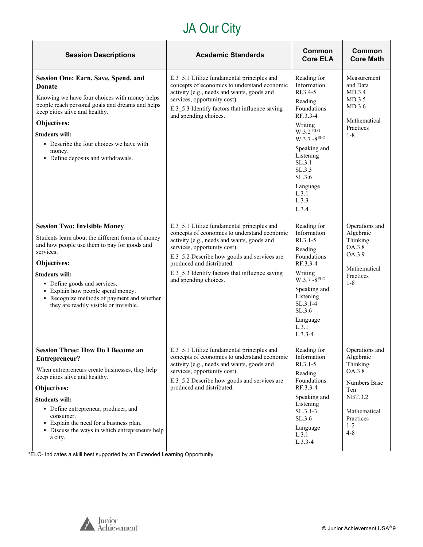## JA Our City

| <b>Session Descriptions</b>                                                                                                                                                                                                                                                                                                                                | <b>Academic Standards</b>                                                                                                                                                                                                                                                                                                       | Common<br><b>Core ELA</b>                                                                                                                                                                                            | Common<br><b>Core Math</b>                                                                                                                    |
|------------------------------------------------------------------------------------------------------------------------------------------------------------------------------------------------------------------------------------------------------------------------------------------------------------------------------------------------------------|---------------------------------------------------------------------------------------------------------------------------------------------------------------------------------------------------------------------------------------------------------------------------------------------------------------------------------|----------------------------------------------------------------------------------------------------------------------------------------------------------------------------------------------------------------------|-----------------------------------------------------------------------------------------------------------------------------------------------|
| <b>Session One: Earn, Save, Spend, and</b><br><b>Donate</b><br>Knowing we have four choices with money helps<br>people reach personal goals and dreams and helps<br>keep cities alive and healthy.<br>Objectives:<br><b>Students will:</b><br>• Describe the four choices we have with<br>money.<br>• Define deposits and withdrawals.                     | E.3_5.1 Utilize fundamental principles and<br>concepts of economics to understand economic<br>activity (e.g., needs and wants, goods and<br>services, opportunity cost).<br>E.3 5.3 Identify factors that influence saving<br>and spending choices.                                                                             | Reading for<br>Information<br>RI.3.4-5<br>Reading<br>Foundations<br>RF.3.3-4<br>Writing<br>W.3.2 ELO<br>W.3.7-8ELO<br>Speaking and<br>Listening<br>SL.3.1<br>SL.3.3<br>SL.3.6<br>Language<br>L.3.1<br>L.3.3<br>L.3.4 | Measurement<br>and Data<br>MD.3.4<br>MD.3.5<br>MD.3.6<br>Mathematical<br>Practices<br>$1 - 8$                                                 |
| <b>Session Two: Invisible Money</b><br>Students learn about the different forms of money<br>and how people use them to pay for goods and<br>services.<br>Objectives:<br><b>Students will:</b><br>• Define goods and services.<br>• Explain how people spend money.<br>• Recognize methods of payment and whether<br>they are readily visible or invisible. | E.3 5.1 Utilize fundamental principles and<br>concepts of economics to understand economic<br>activity (e.g., needs and wants, goods and<br>services, opportunity cost).<br>E.3_5.2 Describe how goods and services are<br>produced and distributed.<br>E.3 5.3 Identify factors that influence saving<br>and spending choices. | Reading for<br>Information<br>$R1.3.1-5$<br>Reading<br>Foundations<br>RF.3.3-4<br>Writing<br>$W.3.7 - 8^{ELO}$<br>Speaking and<br>Listening<br>$SL.3.1-4$<br>SL.3.6<br>Language<br>L.3.1<br>$L.3.3-4$                | Operations and<br>Algebraic<br>Thinking<br>OA.3.8<br>OA.3.9<br>Mathematical<br>Practices<br>$1 - 8$                                           |
| <b>Session Three: How Do I Become an</b><br>Entrepreneur?<br>When entrepreneurs create businesses, they help<br>keep cities alive and healthy.<br>Objectives:<br><b>Students will:</b><br>• Define entrepreneur, producer, and<br>consumer.<br>• Explain the need for a business plan.<br>• Discuss the ways in which entrepreneurs help<br>a city.        | E.3 5.1 Utilize fundamental principles and<br>concepts of economics to understand economic<br>activity (e.g., needs and wants, goods and<br>services, opportunity cost).<br>E.3 5.2 Describe how goods and services are<br>produced and distributed.                                                                            | Reading for<br>Information<br>$RI.3.1 - 5$<br>Reading<br>Foundations<br>RF.3.3-4<br>Speaking and<br>Listening<br>$SL.3.1-3$<br>SL.3.6<br>Language<br>L.3.1<br>$L.3.3-4$                                              | Operations and<br>Algebraic<br>Thinking<br>OA.3.8<br>Numbers Base<br>Ten<br><b>NBT.3.2</b><br>Mathematical<br>Practices<br>$1 - 2$<br>$4 - 8$ |

\*ELO- Indicates a skill best supported by an Extended Learning Opportunity

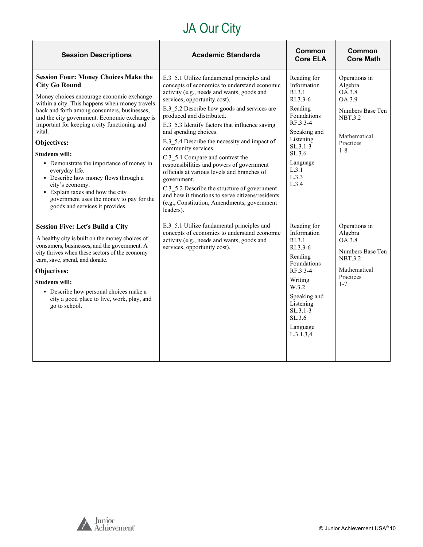# JA Our City

| <b>Session Descriptions</b>                                                                                                                                                                                                                                                                                                                                                                                                                                                                                                                                                                                      | <b>Academic Standards</b>                                                                                                                                                                                                                                                                                                                                                                                                                                                                                                                                                                                                                                                                                             | <b>Common</b><br><b>Core ELA</b>                                                                                                                                                                | <b>Common</b><br><b>Core Math</b>                                                                                          |
|------------------------------------------------------------------------------------------------------------------------------------------------------------------------------------------------------------------------------------------------------------------------------------------------------------------------------------------------------------------------------------------------------------------------------------------------------------------------------------------------------------------------------------------------------------------------------------------------------------------|-----------------------------------------------------------------------------------------------------------------------------------------------------------------------------------------------------------------------------------------------------------------------------------------------------------------------------------------------------------------------------------------------------------------------------------------------------------------------------------------------------------------------------------------------------------------------------------------------------------------------------------------------------------------------------------------------------------------------|-------------------------------------------------------------------------------------------------------------------------------------------------------------------------------------------------|----------------------------------------------------------------------------------------------------------------------------|
| <b>Session Four: Money Choices Make the</b><br><b>City Go Round</b><br>Money choices encourage economic exchange<br>within a city. This happens when money travels<br>back and forth among consumers, businesses,<br>and the city government. Economic exchange is<br>important for keeping a city functioning and<br>vital.<br>Objectives:<br><b>Students will:</b><br>• Demonstrate the importance of money in<br>everyday life.<br>• Describe how money flows through a<br>city's economy.<br>• Explain taxes and how the city<br>government uses the money to pay for the<br>goods and services it provides. | E.3 5.1 Utilize fundamental principles and<br>concepts of economics to understand economic<br>activity (e.g., needs and wants, goods and<br>services, opportunity cost).<br>E.3 5.2 Describe how goods and services are<br>produced and distributed.<br>E.3 5.3 Identify factors that influence saving<br>and spending choices.<br>E.3 5.4 Describe the necessity and impact of<br>community services.<br>C.3 5.1 Compare and contrast the<br>responsibilities and powers of government<br>officials at various levels and branches of<br>government.<br>C.3 5.2 Describe the structure of government<br>and how it functions to serve citizens/residents<br>(e.g., Constitution, Amendments, government<br>leaders). | Reading for<br>Information<br>R <sub>L</sub> 3.1<br>RI.3.3-6<br>Reading<br>Foundations<br>RF.3.3-4<br>Speaking and<br>Listening<br>$SL.3.1-3$<br>SL.3.6<br>Language<br>L.3.1<br>L.3.3<br>L.3.4  | Operations in<br>Algebra<br>OA.3.8<br>OA.3.9<br>Numbers Base Ten<br><b>NBT.3.2</b><br>Mathematical<br>Practices<br>$1 - 8$ |
| <b>Session Five: Let's Build a City</b><br>A healthy city is built on the money choices of<br>consumers, businesses, and the government. A<br>city thrives when these sectors of the economy<br>earn, save, spend, and donate.<br>Objectives:<br><b>Students will:</b><br>• Describe how personal choices make a<br>city a good place to live, work, play, and<br>go to school.                                                                                                                                                                                                                                  | E.3 5.1 Utilize fundamental principles and<br>concepts of economics to understand economic<br>activity (e.g., needs and wants, goods and<br>services, opportunity cost).                                                                                                                                                                                                                                                                                                                                                                                                                                                                                                                                              | Reading for<br>Information<br>RL3.1<br>RI.3.3-6<br>Reading<br><b>Foundations</b><br>RF.3.3-4<br>Writing<br>W.3.2<br>Speaking and<br>Listening<br>$SL.3.1-3$<br>SL.3.6<br>Language<br>L.3.1, 3.4 | Operations in<br>Algebra<br>OA.3.8<br>Numbers Base Ten<br><b>NBT.3.2</b><br>Mathematical<br>Practices<br>$1 - 7$           |

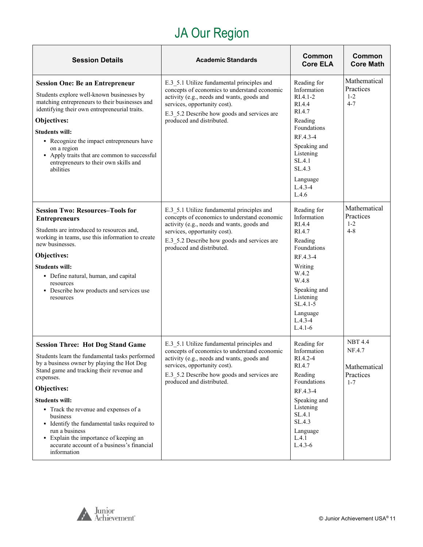# JA Our Region

<span id="page-10-0"></span>

| <b>Session Details</b>                                                                                                                                                                                                                                                                                                                                                                                                                                                   | <b>Academic Standards</b>                                                                                                                                                                                                                            | Common<br><b>Core ELA</b>                                                                                                                                                                            | Common<br><b>Core Math</b>                                       |
|--------------------------------------------------------------------------------------------------------------------------------------------------------------------------------------------------------------------------------------------------------------------------------------------------------------------------------------------------------------------------------------------------------------------------------------------------------------------------|------------------------------------------------------------------------------------------------------------------------------------------------------------------------------------------------------------------------------------------------------|------------------------------------------------------------------------------------------------------------------------------------------------------------------------------------------------------|------------------------------------------------------------------|
| <b>Session One: Be an Entrepreneur</b><br>Students explore well-known businesses by<br>matching entrepreneurs to their businesses and<br>identifying their own entrepreneurial traits.<br>Objectives:<br><b>Students will:</b><br>• Recognize the impact entrepreneurs have<br>on a region<br>• Apply traits that are common to successful<br>entrepreneurs to their own skills and<br>abilities                                                                         | E.3 5.1 Utilize fundamental principles and<br>concepts of economics to understand economic<br>activity (e.g., needs and wants, goods and<br>services, opportunity cost).<br>E.3 5.2 Describe how goods and services are<br>produced and distributed. | Reading for<br>Information<br>$RIA.1-2$<br>RI.4.4<br>RI.4.7<br>Reading<br>Foundations<br>RF.4.3-4<br>Speaking and<br>Listening<br>SL.4.1<br>SL.4.3<br>Language<br>$L.4.3 - 4$<br>L.4.6               | Mathematical<br>Practices<br>$1 - 2$<br>$4 - 7$                  |
| <b>Session Two: Resources-Tools for</b><br><b>Entrepreneurs</b><br>Students are introduced to resources and,<br>working in teams, use this information to create<br>new businesses.<br>Objectives:<br><b>Students will:</b><br>• Define natural, human, and capital<br>resources<br>• Describe how products and services use<br>resources                                                                                                                                | E.3 5.1 Utilize fundamental principles and<br>concepts of economics to understand economic<br>activity (e.g., needs and wants, goods and<br>services, opportunity cost).<br>E.3 5.2 Describe how goods and services are<br>produced and distributed. | Reading for<br>Information<br>RI.4.4<br>RI.4.7<br>Reading<br>Foundations<br>RF.4.3-4<br>Writing<br>W.4.2<br>W.4.8<br>Speaking and<br>Listening<br>$SL.4.1-5$<br>Language<br>$L.4.3 - 4$<br>$L.4.1-6$ | Mathematical<br>Practices<br>$1 - 2$<br>$4 - 8$                  |
| <b>Session Three: Hot Dog Stand Game</b><br>Students learn the fundamental tasks performed<br>by a business owner by playing the Hot Dog<br>Stand game and tracking their revenue and<br>expenses.<br>Objectives:<br><b>Students will:</b><br>• Track the revenue and expenses of a<br>business<br>• Identify the fundamental tasks required to<br>run a business<br>• Explain the importance of keeping an<br>accurate account of a business's financial<br>information | E.3 5.1 Utilize fundamental principles and<br>concepts of economics to understand economic<br>activity (e.g., needs and wants, goods and<br>services, opportunity cost).<br>E.3 5.2 Describe how goods and services are<br>produced and distributed. | Reading for<br>Information<br>RI.4.2-4<br>RI.4.7<br>Reading<br>Foundations<br>RF.4.3-4<br>Speaking and<br>Listening<br>SL.4.1<br>SL.4.3<br>Language<br>L.4.1<br>$L.4.3-6$                            | <b>NBT 4.4</b><br>NF.4.7<br>Mathematical<br>Practices<br>$1 - 7$ |

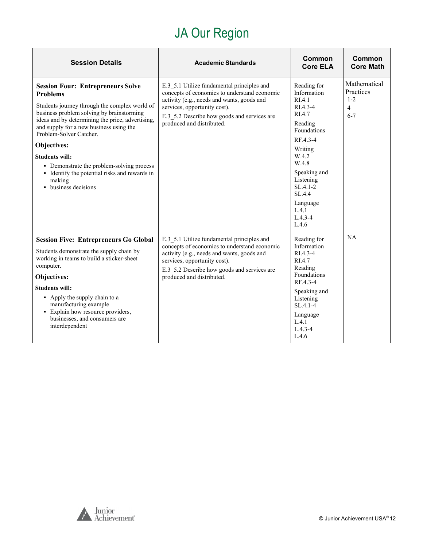## JA Our Region

| <b>Session Details</b>                                                                                                                                                                                                                                                                                                                                                                                                                                      | <b>Academic Standards</b>                                                                                                                                                                                                                            | Common<br><b>Core ELA</b>                                                                                                                                                                                                      | Common<br><b>Core Math</b>                           |
|-------------------------------------------------------------------------------------------------------------------------------------------------------------------------------------------------------------------------------------------------------------------------------------------------------------------------------------------------------------------------------------------------------------------------------------------------------------|------------------------------------------------------------------------------------------------------------------------------------------------------------------------------------------------------------------------------------------------------|--------------------------------------------------------------------------------------------------------------------------------------------------------------------------------------------------------------------------------|------------------------------------------------------|
| <b>Session Four: Entrepreneurs Solve</b><br><b>Problems</b><br>Students journey through the complex world of<br>business problem solving by brainstorming<br>ideas and by determining the price, advertising,<br>and supply for a new business using the<br>Problem-Solver Catcher.<br>Objectives:<br><b>Students will:</b><br>• Demonstrate the problem-solving process<br>• Identify the potential risks and rewards in<br>making<br>• business decisions | E.3 5.1 Utilize fundamental principles and<br>concepts of economics to understand economic<br>activity (e.g., needs and wants, goods and<br>services, opportunity cost).<br>E.3 5.2 Describe how goods and services are<br>produced and distributed. | Reading for<br>Information<br>RIA.1<br>RI.4.3-4<br>RI.4.7<br>Reading<br>Foundations<br>RF.4.3-4<br>Writing<br>W.4.2<br>W.4.8<br>Speaking and<br>Listening<br>$SL.4.1-2$<br>SL.4.4<br>Language<br>L.4.1<br>$L.4.3 - 4$<br>L.4.6 | Mathematical<br>Practices<br>$1 - 2$<br>4<br>$6 - 7$ |
| <b>Session Five: Entrepreneurs Go Global</b><br>Students demonstrate the supply chain by<br>working in teams to build a sticker-sheet<br>computer.<br>Objectives:<br><b>Students will:</b><br>• Apply the supply chain to a<br>manufacturing example<br>· Explain how resource providers,<br>businesses, and consumers are<br>interdependent                                                                                                                | E.3 5.1 Utilize fundamental principles and<br>concepts of economics to understand economic<br>activity (e.g., needs and wants, goods and<br>services, opportunity cost).<br>E.3 5.2 Describe how goods and services are<br>produced and distributed. | Reading for<br>Information<br>RI.4.3-4<br>RI.4.7<br>Reading<br>Foundations<br>RF.4.3-4<br>Speaking and<br>Listening<br>$SL.4.1 - 4$<br>Language<br>L.4.1<br>$L.4.3 - 4$<br>L.4.6                                               | NA                                                   |

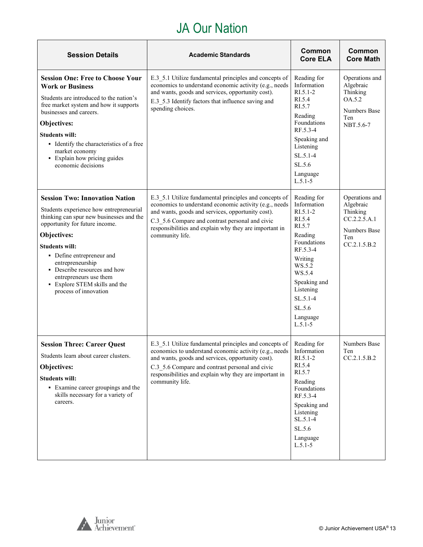### JA Our Nation

| <b>Session Details</b>                                                                                                                                                                                                                                                                                                                                                      | <b>Academic Standards</b>                                                                                                                                                                                                                                                                                           | Common<br><b>Core ELA</b>                                                                                                                                                                                       | Common<br><b>Core Math</b>                                                                     |
|-----------------------------------------------------------------------------------------------------------------------------------------------------------------------------------------------------------------------------------------------------------------------------------------------------------------------------------------------------------------------------|---------------------------------------------------------------------------------------------------------------------------------------------------------------------------------------------------------------------------------------------------------------------------------------------------------------------|-----------------------------------------------------------------------------------------------------------------------------------------------------------------------------------------------------------------|------------------------------------------------------------------------------------------------|
| <b>Session One: Free to Choose Your</b><br><b>Work or Business</b><br>Students are introduced to the nation's<br>free market system and how it supports<br>businesses and careers.<br>Objectives:<br>Students will:<br>• Identify the characteristics of a free<br>market economy<br>• Explain how pricing guides<br>economic decisions                                     | E.3 5.1 Utilize fundamental principles and concepts of<br>economics to understand economic activity (e.g., needs<br>and wants, goods and services, opportunity cost).<br>E.3 5.3 Identify factors that influence saving and<br>spending choices.                                                                    | Reading for<br>Information<br>$RI.5.1 - 2$<br>RI.5.4<br>RI.5.7<br>Reading<br>Foundations<br>RF.5.3-4<br>Speaking and<br>Listening<br>$SL.5.1-4$<br>SL.5.6<br>Language<br>$L.5.1 - 5$                            | Operations and<br>Algebraic<br>Thinking<br>OA.5.2<br><b>Numbers Base</b><br>Ten<br>NBT.5.6-7   |
| <b>Session Two: Innovation Nation</b><br>Students experience how entrepreneurial<br>thinking can spur new businesses and the<br>opportunity for future income.<br>Objectives:<br><b>Students will:</b><br>• Define entrepreneur and<br>entrepreneurship<br>• Describe resources and how<br>entrepreneurs use them<br>• Explore STEM skills and the<br>process of innovation | E.3 5.1 Utilize fundamental principles and concepts of<br>economics to understand economic activity (e.g., needs<br>and wants, goods and services, opportunity cost).<br>C.3 5.6 Compare and contrast personal and civic<br>responsibilities and explain why they are important in<br>community life.               | Reading for<br>Information<br>$RI.5.1-2$<br>RI.5.4<br>RI.5.7<br>Reading<br>Foundations<br>RF.5.3-4<br>Writing<br>WS.5.2<br>WS.5.4<br>Speaking and<br>Listening<br>$SL.5.1-4$<br>SL.5.6<br>Language<br>$L.5.1-5$ | Operations and<br>Algebraic<br>Thinking<br>CC.2.2.5.A.1<br>Numbers Base<br>Ten<br>CC.2.1.5.B.2 |
| <b>Session Three: Career Quest</b><br>Students learn about career clusters.<br>Objectives:<br><b>Students will:</b><br>• Examine career groupings and the<br>skills necessary for a variety of<br>careers.                                                                                                                                                                  | E.3_5.1 Utilize fundamental principles and concepts of<br>economics to understand economic activity (e.g., needs   Information<br>and wants, goods and services, opportunity cost).<br>C.3 5.6 Compare and contrast personal and civic<br>responsibilities and explain why they are important in<br>community life. | Reading for<br>$RI.5.1-2$<br>RI.5.4<br>RI.5.7<br>Reading<br>Foundations<br>RF.5.3-4<br>Speaking and<br>Listening<br>$SL.5.1-4$<br>SL.5.6<br>Language<br>$L.5.1-5$                                               | Numbers Base<br>Ten<br>CC.2.1.5.B.2                                                            |

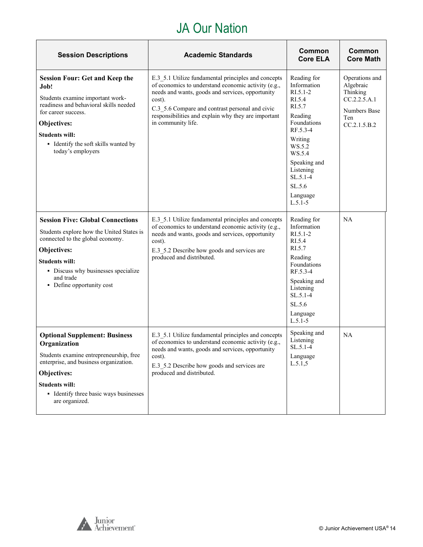### JA Our Nation

| <b>Session Descriptions</b>                                                                                                                                                                                                                             | <b>Academic Standards</b>                                                                                                                                                                                                                                                                                | Common<br><b>Core ELA</b>                                                                                                                                                                                         | <b>Common</b><br><b>Core Math</b>                                                              |
|---------------------------------------------------------------------------------------------------------------------------------------------------------------------------------------------------------------------------------------------------------|----------------------------------------------------------------------------------------------------------------------------------------------------------------------------------------------------------------------------------------------------------------------------------------------------------|-------------------------------------------------------------------------------------------------------------------------------------------------------------------------------------------------------------------|------------------------------------------------------------------------------------------------|
| <b>Session Four: Get and Keep the</b><br>Job!<br>Students examine important work-<br>readiness and behavioral skills needed<br>for career success.<br>Objectives:<br><b>Students will:</b><br>• Identify the soft skills wanted by<br>today's employers | E.3 5.1 Utilize fundamental principles and concepts<br>of economics to understand economic activity (e.g.,<br>needs and wants, goods and services, opportunity<br>cost).<br>C.3 5.6 Compare and contrast personal and civic<br>responsibilities and explain why they are important<br>in community life. | Reading for<br>Information<br>$RI.5.1-2$<br>RI.5.4<br>RI.5.7<br>Reading<br>Foundations<br>RF.5.3-4<br>Writing<br>WS.5.2<br>WS.5.4<br>Speaking and<br>Listening<br>$SL.5.1-4$<br>SL.5.6<br>Language<br>$L.5.1 - 5$ | Operations and<br>Algebraic<br>Thinking<br>CC.2.2.5.A.1<br>Numbers Base<br>Ten<br>CC.2.1.5.B.2 |
| <b>Session Five: Global Connections</b><br>Students explore how the United States is<br>connected to the global economy.<br>Objectives:<br><b>Students will:</b><br>• Discuss why businesses specialize<br>and trade<br>• Define opportunity cost       | E.3_5.1 Utilize fundamental principles and concepts<br>of economics to understand economic activity (e.g.,<br>needs and wants, goods and services, opportunity<br>cost).<br>E.3_5.2 Describe how goods and services are<br>produced and distributed.                                                     | Reading for<br>Information<br>$RI.5.1 - 2$<br>RI.5.4<br>RI.5.7<br>Reading<br>Foundations<br>RF.5.3-4<br>Speaking and<br>Listening<br>$SL.5.1-4$<br>SL.5.6<br>Language<br>$L.5.1 - 5$                              | <b>NA</b>                                                                                      |
| <b>Optional Supplement: Business</b><br>Organization<br>Students examine entrepreneurship, free<br>enterprise, and business organization.<br>Objectives:<br><b>Students will:</b><br>• Identify three basic ways businesses<br>are organized.           | E.3_5.1 Utilize fundamental principles and concepts<br>of economics to understand economic activity (e.g.,<br>needs and wants, goods and services, opportunity<br>cost).<br>E.3 5.2 Describe how goods and services are<br>produced and distributed.                                                     | Speaking and<br>Listening<br>SL.5.1-4<br>Language<br>L.5.1, 5                                                                                                                                                     | <b>NA</b>                                                                                      |

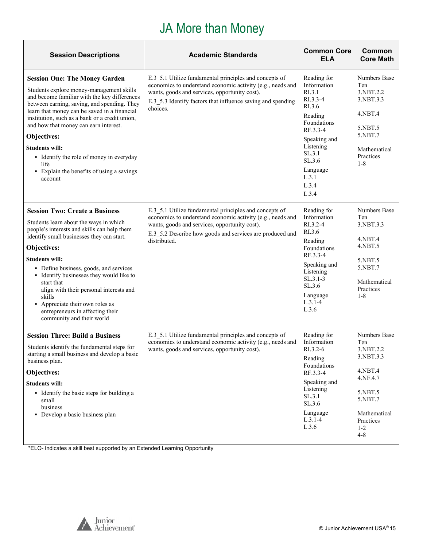## JA More than Money

<span id="page-14-0"></span>

| <b>Session Descriptions</b>                                                                                                                                                                                                                                                                                                                                                                                                                                                      | <b>Academic Standards</b>                                                                                                                                                                                                                         | <b>Common Core</b><br><b>ELA</b>                                                                                                                                                                     | Common<br><b>Core Math</b>                                                                                                                    |
|----------------------------------------------------------------------------------------------------------------------------------------------------------------------------------------------------------------------------------------------------------------------------------------------------------------------------------------------------------------------------------------------------------------------------------------------------------------------------------|---------------------------------------------------------------------------------------------------------------------------------------------------------------------------------------------------------------------------------------------------|------------------------------------------------------------------------------------------------------------------------------------------------------------------------------------------------------|-----------------------------------------------------------------------------------------------------------------------------------------------|
| <b>Session One: The Money Garden</b><br>Students explore money-management skills<br>and become familiar with the key differences<br>between earning, saving, and spending. They<br>learn that money can be saved in a financial<br>institution, such as a bank or a credit union,<br>and how that money can earn interest.<br>Objectives:<br><b>Students will:</b><br>• Identify the role of money in everyday<br>life<br>• Explain the benefits of using a savings<br>account   | E.3 5.1 Utilize fundamental principles and concepts of<br>economics to understand economic activity (e.g., needs and<br>wants, goods and services, opportunity cost).<br>E.3 5.3 Identify factors that influence saving and spending<br>choices.  | Reading for<br>Information<br>R <sub>L</sub> 3.1<br>RI.3.3-4<br>RI.3.6<br>Reading<br>Foundations<br>RF.3.3-4<br>Speaking and<br>Listening<br>SL.3.1<br>SL.3.6<br>Language<br>L.3.1<br>L.3.4<br>L.3.4 | Numbers Base<br>Ten<br>3.NBT.2.2<br>3.NBT.3.3<br>4.NBT.4<br>5.NBT.5<br>5.NBT.7<br>Mathematical<br>Practices<br>$1 - 8$                        |
| <b>Session Two: Create a Business</b><br>Students learn about the ways in which<br>people's interests and skills can help them<br>identify small businesses they can start.<br>Objectives:<br><b>Students will:</b><br>• Define business, goods, and services<br>• Identify businesses they would like to<br>start that<br>align with their personal interests and<br>skills<br>• Appreciate their own roles as<br>entrepreneurs in affecting their<br>community and their world | E.3 5.1 Utilize fundamental principles and concepts of<br>economics to understand economic activity (e.g., needs and<br>wants, goods and services, opportunity cost).<br>E.3 5.2 Describe how goods and services are produced and<br>distributed. | Reading for<br>Information<br>RI.3.2-4<br>RI.3.6<br>Reading<br>Foundations<br>RF.3.3-4<br>Speaking and<br>Listening<br>$SL.3.1-3$<br>SL.3.6<br>Language<br>$L.3.1 - 4$<br>L.3.6                      | <b>Numbers Base</b><br>Ten<br>3.NBT.3.3<br>4.NBT.4<br>4.NBT.5<br>5.NBT.5<br>5.NBT.7<br>Mathematical<br>Practices<br>$1 - 8$                   |
| <b>Session Three: Build a Business</b><br>Students identify the fundamental steps for<br>starting a small business and develop a basic<br>business plan.<br>Objectives:<br><b>Students will:</b><br>• Identify the basic steps for building a<br>small<br>business<br>• Develop a basic business plan                                                                                                                                                                            | E.3_5.1 Utilize fundamental principles and concepts of<br>economics to understand economic activity (e.g., needs and<br>wants, goods and services, opportunity cost).                                                                             | Reading for<br>Information<br>RI.3.2-6<br>Reading<br>Foundations<br>RF.3.3-4<br>Speaking and<br>Listening<br>SL.3.1<br>SL.3.6<br>Language<br>$L.3.1 - 4$<br>L.3.6                                    | Numbers Base<br>Ten<br>3.NBT.2.2<br>3.NBT.3.3<br>4.NBT.4<br>4.NF.4.7<br>5.NBT.5<br>5.NBT.7<br>Mathematical<br>Practices<br>$1 - 2$<br>$4 - 8$ |

\*ELO- Indicates a skill best supported by an Extended Learning Opportunity

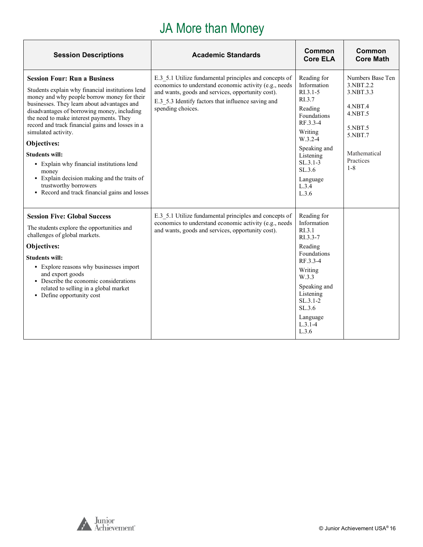## JA More than Money

| <b>Session Descriptions</b>                                                                                                                                                                                                                                                                                                                                                                                                                                                                                                                                                        | <b>Academic Standards</b>                                                                                                                                                                                                                        | Common<br><b>Core ELA</b>                                                                                                                                                                           | Common<br><b>Core Math</b>                                                                                                           |
|------------------------------------------------------------------------------------------------------------------------------------------------------------------------------------------------------------------------------------------------------------------------------------------------------------------------------------------------------------------------------------------------------------------------------------------------------------------------------------------------------------------------------------------------------------------------------------|--------------------------------------------------------------------------------------------------------------------------------------------------------------------------------------------------------------------------------------------------|-----------------------------------------------------------------------------------------------------------------------------------------------------------------------------------------------------|--------------------------------------------------------------------------------------------------------------------------------------|
| <b>Session Four: Run a Business</b><br>Students explain why financial institutions lend<br>money and why people borrow money for their<br>businesses. They learn about advantages and<br>disadvantages of borrowing money, including<br>the need to make interest payments. They<br>record and track financial gains and losses in a<br>simulated activity.<br>Objectives:<br><b>Students will:</b><br>• Explain why financial institutions lend<br>money<br>• Explain decision making and the traits of<br>trustworthy borrowers<br>• Record and track financial gains and losses | E.3 5.1 Utilize fundamental principles and concepts of<br>economics to understand economic activity (e.g., needs<br>and wants, goods and services, opportunity cost).<br>E.3 5.3 Identify factors that influence saving and<br>spending choices. | Reading for<br>Information<br>$R1.3.1-5$<br>RI.3.7<br>Reading<br>Foundations<br>RF.3.3-4<br>Writing<br>$W.3.2-4$<br>Speaking and<br>Listening<br>$SL.3.1-3$<br>SL.3.6<br>Language<br>L.3.4<br>L.3.6 | Numbers Base Ten<br>3.NBT.2.2<br>3.NBT.3.3<br>$4.$ NBT $.4$<br>4.NBT.5<br>5.NBT.5<br>5.NBT.7<br>Mathematical<br>Practices<br>$1 - 8$ |
| <b>Session Five: Global Success</b><br>The students explore the opportunities and<br>challenges of global markets.<br>Objectives:<br><b>Students will:</b><br>• Explore reasons why businesses import<br>and export goods<br>• Describe the economic considerations<br>related to selling in a global market<br>• Define opportunity cost                                                                                                                                                                                                                                          | E.3 5.1 Utilize fundamental principles and concepts of<br>economics to understand economic activity (e.g., needs<br>and wants, goods and services, opportunity cost).                                                                            | Reading for<br>Information<br>RI.3.1<br>$RI.3.3-7$<br>Reading<br>Foundations<br>RF.3.3-4<br>Writing<br>W.3.3<br>Speaking and<br>Listening<br>$SL.3.1-2$<br>SL.3.6<br>Language<br>$L.3.1-4$<br>L.3.6 |                                                                                                                                      |

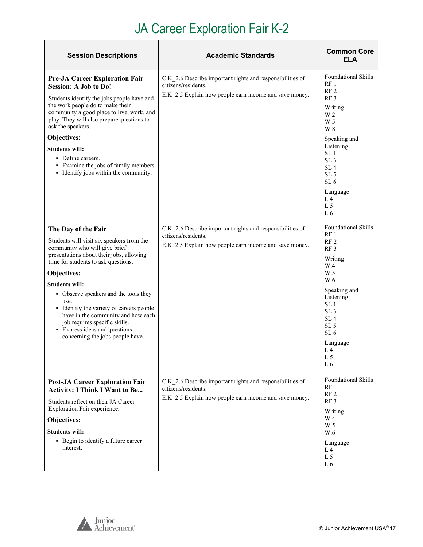# JA Career Exploration Fair K-2

| <b>Session Descriptions</b>                                                                                                                                                                                                                                                                                                                                                                                                                                           | <b>Academic Standards</b>                                                                                                                  | <b>Common Core</b><br>ELA                                                                                                                                                                                                                                                                            |
|-----------------------------------------------------------------------------------------------------------------------------------------------------------------------------------------------------------------------------------------------------------------------------------------------------------------------------------------------------------------------------------------------------------------------------------------------------------------------|--------------------------------------------------------------------------------------------------------------------------------------------|------------------------------------------------------------------------------------------------------------------------------------------------------------------------------------------------------------------------------------------------------------------------------------------------------|
| <b>Pre-JA Career Exploration Fair</b><br><b>Session: A Job to Do!</b><br>Students identify the jobs people have and<br>the work people do to make their<br>community a good place to live, work, and<br>play. They will also prepare questions to<br>ask the speakers.<br>Objectives:<br><b>Students will:</b><br>• Define careers.<br>• Examine the jobs of family members.<br>• Identify jobs within the community.                                                 | C.K 2.6 Describe important rights and responsibilities of<br>citizens/residents.<br>E.K 2.5 Explain how people earn income and save money. | <b>Foundational Skills</b><br>RF <sub>1</sub><br>RF <sub>2</sub><br>RF3<br>Writing<br>W <sub>2</sub><br>W 5<br>W 8<br>Speaking and<br>Listening<br>SL <sub>1</sub><br>SL <sub>3</sub><br>SL <sub>4</sub><br>SL <sub>5</sub><br>SL <sub>6</sub><br>Language<br>L <sub>4</sub><br>L <sub>5</sub><br>L6 |
| The Day of the Fair<br>Students will visit six speakers from the<br>community who will give brief<br>presentations about their jobs, allowing<br>time for students to ask questions.<br>Objectives:<br><b>Students will:</b><br>• Observe speakers and the tools they<br>use.<br>• Identify the variety of careers people<br>have in the community and how each<br>job requires specific skills.<br>• Express ideas and questions<br>concerning the jobs people have. | C.K_2.6 Describe important rights and responsibilities of<br>citizens/residents.<br>E.K 2.5 Explain how people earn income and save money. | <b>Foundational Skills</b><br>RF <sub>1</sub><br>RF <sub>2</sub><br>RF <sub>3</sub><br>Writing<br>W.4<br>W.5<br>W.6<br>Speaking and<br>Listening<br>SL 1<br>SL <sub>3</sub><br>SL <sub>4</sub><br>SL <sub>5</sub><br>SL <sub>6</sub><br>Language<br>L <sub>4</sub><br>L <sub>5</sub><br>L6           |
| <b>Post-JA Career Exploration Fair</b><br><b>Activity: I Think I Want to Be</b><br>Students reflect on their JA Career<br>Exploration Fair experience.<br>Objectives:<br><b>Students will:</b><br>• Begin to identify a future career<br>interest.                                                                                                                                                                                                                    | C.K 2.6 Describe important rights and responsibilities of<br>citizens/residents.<br>E.K 2.5 Explain how people earn income and save money. | <b>Foundational Skills</b><br>RF <sub>1</sub><br>RF <sub>2</sub><br>RF <sub>3</sub><br>Writing<br>W.4<br>W.5<br>W.6<br>Language<br>L <sub>4</sub><br>L <sub>5</sub><br>L6                                                                                                                            |

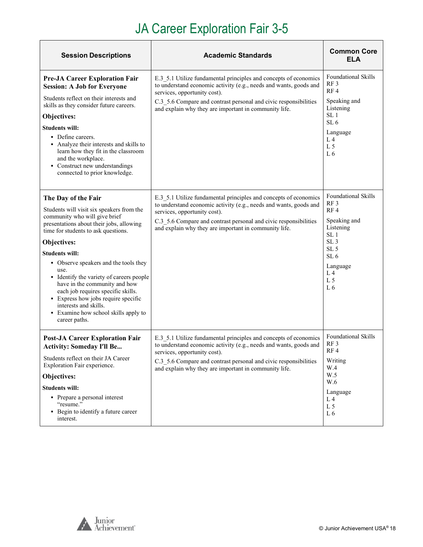# JA Career Exploration Fair 3-5

| <b>Session Descriptions</b>                                                                                                                                                                                                                                                                                                                                                                                                                                                                                               | <b>Academic Standards</b>                                                                                                                                                                                                                                                                          | <b>Common Core</b><br>ELA                                                                                                                                                                                           |
|---------------------------------------------------------------------------------------------------------------------------------------------------------------------------------------------------------------------------------------------------------------------------------------------------------------------------------------------------------------------------------------------------------------------------------------------------------------------------------------------------------------------------|----------------------------------------------------------------------------------------------------------------------------------------------------------------------------------------------------------------------------------------------------------------------------------------------------|---------------------------------------------------------------------------------------------------------------------------------------------------------------------------------------------------------------------|
| <b>Pre-JA Career Exploration Fair</b><br><b>Session: A Job for Everyone</b><br>Students reflect on their interests and<br>skills as they consider future careers.<br>Objectives:<br><b>Students will:</b><br>• Define careers.<br>• Analyze their interests and skills to<br>learn how they fit in the classroom<br>and the workplace.<br>• Construct new understandings<br>connected to prior knowledge.                                                                                                                 | E.3 5.1 Utilize fundamental principles and concepts of economics<br>to understand economic activity (e.g., needs and wants, goods and<br>services, opportunity cost).<br>C.3 5.6 Compare and contrast personal and civic responsibilities<br>and explain why they are important in community life. | <b>Foundational Skills</b><br>RF <sub>3</sub><br>RF <sub>4</sub><br>Speaking and<br>Listening<br>SL <sub>1</sub><br>SL <sub>6</sub><br>Language<br>L <sub>4</sub><br>L <sub>5</sub><br>L <sub>6</sub>               |
| The Day of the Fair<br>Students will visit six speakers from the<br>community who will give brief<br>presentations about their jobs, allowing<br>time for students to ask questions.<br>Objectives:<br><b>Students will:</b><br>• Observe speakers and the tools they<br>use.<br>• Identify the variety of careers people<br>have in the community and how<br>each job requires specific skills.<br>• Express how jobs require specific<br>interests and skills.<br>• Examine how school skills apply to<br>career paths. | E.3 5.1 Utilize fundamental principles and concepts of economics<br>to understand economic activity (e.g., needs and wants, goods and<br>services, opportunity cost).<br>C.3_5.6 Compare and contrast personal and civic responsibilities<br>and explain why they are important in community life. | <b>Foundational Skills</b><br>RF <sub>3</sub><br>RF4<br>Speaking and<br>Listening<br>SL <sub>1</sub><br>SL <sub>3</sub><br>SL <sub>5</sub><br>SL <sub>6</sub><br>Language<br>L <sub>4</sub><br>L <sub>5</sub><br>L6 |
| <b>Post-JA Career Exploration Fair</b><br><b>Activity: Someday I'll Be</b><br>Students reflect on their JA Career<br>Exploration Fair experience.<br>Objectives:<br><b>Students will:</b><br>• Prepare a personal interest<br>"resume."<br>• Begin to identify a future career<br>interest.                                                                                                                                                                                                                               | E.3_5.1 Utilize fundamental principles and concepts of economics<br>to understand economic activity (e.g., needs and wants, goods and<br>services, opportunity cost).<br>C.3 5.6 Compare and contrast personal and civic responsibilities<br>and explain why they are important in community life. | <b>Foundational Skills</b><br>RF <sub>3</sub><br>RF4<br>Writing<br>W.4<br>W.5<br>W.6<br>Language<br>L <sub>4</sub><br>L <sub>5</sub><br>L6                                                                          |